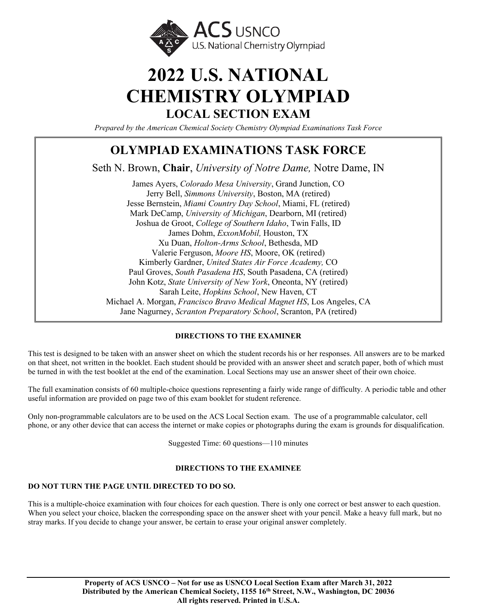

# **2022 U.S. NATIONAL CHEMISTRY OLYMPIAD LOCAL SECTION EXAM**

*Prepared by the American Chemical Society Chemistry Olympiad Examinations Task Force*

### **OLYMPIAD EXAMINATIONS TASK FORCE**

Seth N. Brown, **Chair**, *University of Notre Dame,* Notre Dame, IN

James Ayers, *Colorado Mesa University*, Grand Junction, CO Jerry Bell, *Simmons University*, Boston, MA (retired) Jesse Bernstein, *Miami Country Day School*, Miami, FL (retired) Mark DeCamp, *University of Michigan*, Dearborn, MI (retired) Joshua de Groot, *College of Southern Idaho*, Twin Falls, ID James Dohm, *ExxonMobil,* Houston, TX Xu Duan, *Holton-Arms School*, Bethesda, MD Valerie Ferguson, *Moore HS*, Moore, OK (retired) Kimberly Gardner, *United States Air Force Academy,* CO Paul Groves, *South Pasadena HS*, South Pasadena, CA (retired) John Kotz, *State University of New York*, Oneonta, NY (retired) Sarah Leite, *Hopkins School*, New Haven, CT Michael A. Morgan, *Francisco Bravo Medical Magnet HS*, Los Angeles, CA Jane Nagurney, *Scranton Preparatory School*, Scranton, PA (retired)

#### **DIRECTIONS TO THE EXAMINER**

This test is designed to be taken with an answer sheet on which the student records his or her responses. All answers are to be marked on that sheet, not written in the booklet. Each student should be provided with an answer sheet and scratch paper, both of which must be turned in with the test booklet at the end of the examination. Local Sections may use an answer sheet of their own choice.

The full examination consists of 60 multiple-choice questions representing a fairly wide range of difficulty. A periodic table and other useful information are provided on page two of this exam booklet for student reference.

Only non-programmable calculators are to be used on the ACS Local Section exam. The use of a programmable calculator, cell phone, or any other device that can access the internet or make copies or photographs during the exam is grounds for disqualification.

Suggested Time: 60 questions—110 minutes

#### **DIRECTIONS TO THE EXAMINEE**

#### **DO NOT TURN THE PAGE UNTIL DIRECTED TO DO SO.**

This is a multiple-choice examination with four choices for each question. There is only one correct or best answer to each question. When you select your choice, blacken the corresponding space on the answer sheet with your pencil. Make a heavy full mark, but no stray marks. If you decide to change your answer, be certain to erase your original answer completely.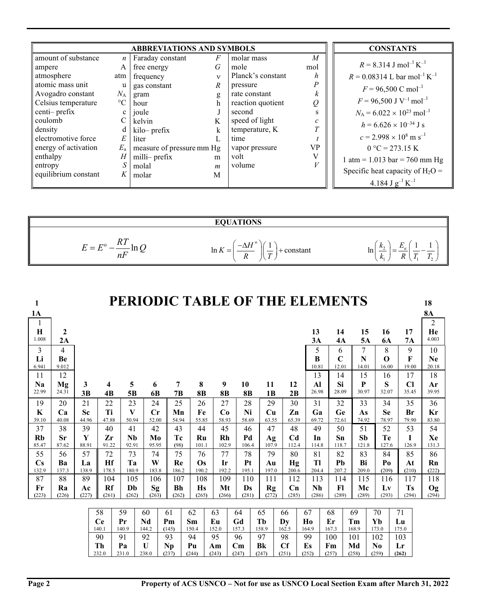|                      |                  | <b>ABBREVIATIONS AND SYMBOLS</b> |                  |                   |           | <b>CONSTANTS</b>                                      |
|----------------------|------------------|----------------------------------|------------------|-------------------|-----------|-------------------------------------------------------|
| amount of substance  | $\boldsymbol{n}$ | Faraday constant                 | $\sqrt{F}$       | molar mass        | M         |                                                       |
| ampere               | A                | free energy                      | G                | mole              | mol       | $R = 8.314$ J mol <sup>-1</sup> K <sup>-1</sup>       |
| atmosphere           | atm              | frequency                        | $\mathbf{v}$     | Planck's constant | h         | $R = 0.08314$ L bar mol <sup>-1</sup> K <sup>-1</sup> |
| atomic mass unit     | u                | gas constant                     | $\boldsymbol{R}$ | pressure          |           | $F = 96,500$ C mol <sup>-1</sup>                      |
| Avogadro constant    | $N_{\rm A}$      | gram                             | g                | rate constant     | k         |                                                       |
| Celsius temperature  | $\rm ^{\circ}C$  | hour                             | h                | reaction quotient | Q         | $F = 96,500$ J V <sup>-1</sup> mol <sup>-1</sup>      |
| centi-prefix         | $\mathbf{c}$     | joule                            |                  | second            |           | $N_A = 6.022 \times 10^{23}$ mol <sup>-1</sup>        |
| coulomb              |                  | kelvin                           | K                | speed of light    |           | $h = 6.626 \times 10^{-34}$ J s                       |
| density              | d                | kilo-prefix                      | k                | temperature, K    |           |                                                       |
| electromotive force  | E                | liter                            |                  | time              |           | $c = 2.998 \times 10^8$ m s <sup>-1</sup>             |
| energy of activation | $E_{\rm a}$      | measure of pressure mm Hg        |                  | vapor pressure    | <b>VP</b> | $0^{\circ}C = 273.15 K$                               |
| enthalpy             | Н                | milli- prefix                    | m                | volt              | V         | 1 atm = $1.013$ bar = 760 mm Hg                       |
| entropy              | S I              | molal                            | $\boldsymbol{m}$ | volume            |           |                                                       |
| equilibrium constant | $K_{-}$          | molar                            | M                |                   |           | Specific heat capacity of $H_2O =$                    |
|                      |                  |                                  |                  |                   |           | 4.184 J $g^{-1} K^{-1}$                               |

|                                 | <b>EQUATIONS</b>                                                             |                                                                                                                                |
|---------------------------------|------------------------------------------------------------------------------|--------------------------------------------------------------------------------------------------------------------------------|
| 1 L 1<br>$F^0$<br>--<br>⊻<br>nF | $T_{T}$<br>ln K<br>∙constant<br>$=$<br>$\boldsymbol{D}$<br>$\mathbf{u}$<br>ĸ | $n_{\gamma}$<br>ln<br>__<br>$\overline{r}$<br>$\sim$<br>$\blacksquare$<br>$\mathbf{v}$<br>$n_1$<br>$\overline{1}$<br>$\lambda$ |

| 1                      |                  |                    |       |             |                      | PERIODIC TABLE OF THE ELEMENTS |             |             |       |             |                        |                |                         |                |             |             |       |             |                    |                                 | 18             |
|------------------------|------------------|--------------------|-------|-------------|----------------------|--------------------------------|-------------|-------------|-------|-------------|------------------------|----------------|-------------------------|----------------|-------------|-------------|-------|-------------|--------------------|---------------------------------|----------------|
| 1A                     |                  |                    |       |             |                      |                                |             |             |       |             |                        |                |                         |                |             |             |       |             |                    |                                 | <b>8A</b>      |
| 1                      |                  |                    |       |             |                      |                                |             |             |       |             |                        |                |                         |                |             |             |       |             |                    |                                 | $\overline{2}$ |
| H                      | $\boldsymbol{2}$ |                    |       |             |                      |                                |             |             |       |             |                        |                |                         |                | 13          | 14          |       | 15          | 16                 | 17                              | He             |
| 1.008                  | 2A               |                    |       |             |                      |                                |             |             |       |             |                        |                |                         |                | 3A          | 4A          |       | 5A          | <b>6A</b>          | 7A                              | 4.003          |
| 3                      | 4                |                    |       |             |                      |                                |             |             |       |             |                        |                |                         |                | 5           | 6           |       | 7           | 8                  | 9                               | 10             |
| Li                     | Be               |                    |       |             |                      |                                |             |             |       |             |                        |                |                         |                | R           | $\mathbf C$ |       | N           | $\Omega$           | F                               | <b>Ne</b>      |
| 6.941                  | 9.012            |                    |       |             |                      |                                |             |             |       |             |                        |                |                         |                | 10.81       | 12.01       |       | 14.01       | 16.00              | 19.00                           | 20.18          |
| 11                     | 12               |                    |       |             |                      |                                |             |             |       |             |                        |                |                         |                | 13          | 14          |       | 15          | 16                 | 17                              | 18             |
| Na<br>22.99            | Mg<br>24.31      | 3                  |       | 4           | 5                    | 6                              | 7           | 8           |       | 9           | 10                     | 11             | 12<br>2B                |                | Al<br>26.98 | Si<br>28.09 |       | P<br>30.97  | S<br>32.07         | $\overline{\text{Cl}}$<br>35.45 | Ar<br>39.95    |
|                        |                  | 3B                 |       | 4B          | 5B                   | 6B                             | 7B          | <b>8B</b>   |       | <b>8B</b>   | <b>8B</b>              | 1 <sub>B</sub> |                         |                |             |             |       |             |                    |                                 |                |
| 19                     | 20               | 21                 |       | 22          | 23                   | 24                             | 25          | 26          |       | 27          | 28                     | 29             | 30                      |                | 31          | 32          |       | 33          | 34                 | 35                              | 36             |
| K<br>39.10             | Ca<br>40.08      | <b>Sc</b><br>44.96 |       | Ti<br>47.88 | V<br>50.94           | Cr<br>52.00                    | Mn<br>54.94 | Fe<br>55.85 |       | Co<br>58.93 | Ni<br>58.69            | Cu<br>63.55    | $\mathbf{Z}$ n<br>65.39 |                | Ga<br>69.72 | Ge<br>72.61 |       | As<br>74.92 | <b>Se</b><br>78.97 | Br<br>79.90                     | Kr<br>83.80    |
| 37                     | 38               | 39                 |       | 40          | 41                   | 42                             | 43          | 44          |       | 45          | 46                     | 47             | 48                      |                | 49          | 50          |       | 51          | 52                 | 53                              | 54             |
| <b>Rb</b>              | Sr               | Y                  |       | Zr          | <b>N<sub>b</sub></b> | M <sub>0</sub>                 | Tc          | Ru          |       | Rh          | Pd                     | Ag             | C <sub>d</sub>          |                | In          | Sn          |       | Sh          | Te                 | I                               | Xe             |
| 85.47                  | 87.62            | 88.91              |       | 91.22       | 92.91                | 95.95                          | (98)        | 101.1       |       | 102.9       | 106.4                  | 107.9          | 112.4                   |                | 114.8       | 118.7       |       | 121.8       | 127.6              | 126.9                           | 131.3          |
| 55                     | 56               | 57                 |       | 72          | 73                   | 74                             | 75          | 76          |       | 77          | 78                     | 79             | 80                      |                | 81          | 82          |       | 83          | 84                 | 85                              | 86             |
| $\mathbf{C}\mathbf{s}$ | Ba               | La                 |       | Hf          | Ta                   | W                              | Re          | $\Omega$ s  |       | Ir          | Pt                     | Au             | Hg                      |                | Tl          | Ph          |       | Bi          | P <sub>0</sub>     | At                              | Rn             |
| 132.9                  | 137.3            | 138.9              |       | 178.5       | 180.9                | 183.8                          | 186.2       | 190.2       |       | 192.2       | 195.1                  | 197.0          | 200.6                   |                | 204.4       | 207.2       |       | 209.0       | (209)              | (210)                           | (222)          |
| 87                     | 88               | 89                 |       | 104         | 105                  | 106                            | 107         | 108         |       | 109         | 110                    | 111            | 112                     |                | 113         | 114         |       | 115         | 116                | 117                             | 118            |
| Fr                     | Ra               | Ac                 |       | Rf          | Dh                   | Sg                             | <b>Bh</b>   | <b>Hs</b>   |       | Mt          | Ds                     | Rg             | Cn                      |                | Nh          | F1          |       | Mc          | Lv                 | <b>Ts</b>                       | Og             |
| (223)                  | (226)            | (227)              |       | (261)       | (262)                | (263)                          | (262)       | (265)       |       | (266)       | (281)                  | (272)          | (285)                   |                | (286)       | (289)       |       | (289)       | (293)              | (294)                           | (294)          |
|                        |                  |                    | 58    |             | 59                   | 60                             | 61          | 62          | 63    |             | 64                     | 65             | 66                      | 67             |             | 68          | 69    |             | 70                 | 71                              |                |
|                        |                  |                    | Ce    |             | Pr                   | Nd                             | Pm          | Sm          | Eu    |             | Gd                     | Th             | Dy                      | H <sub>0</sub> |             | Er          | Tm    |             | Yb                 | Lu                              |                |
|                        |                  |                    | 140.1 |             | 140.9                | 144.2                          | (145)       | 150.4       | 152.0 |             | 157.3                  | 158.9          | 162.5                   | 164.9          |             | 167.3       | 168.9 |             | 173.0              | 175.0                           |                |
|                        |                  |                    | 90    |             | 91                   | 92                             | 93          | 94          | 95    |             | 96                     | 97             | 98                      | 99             |             | 100         | 101   |             | 102                | 103                             |                |
|                        |                  |                    | Th    |             | Pa                   | $\mathbf{U}$                   | <b>Np</b>   | Pu          | Am    |             | $\mathbf{C}\mathbf{m}$ | Bk             | <b>Cf</b>               | Es             |             | Fm          | Md    |             | $\bf No$           | Lr                              |                |
|                        |                  |                    | 232.0 |             | 231.0                | 238.0                          | (237)       | (244)       | (243) |             | (247)                  | (247)          | (251)                   | (252)          |             | (257)       | (258) |             | (259)              | (262)                           |                |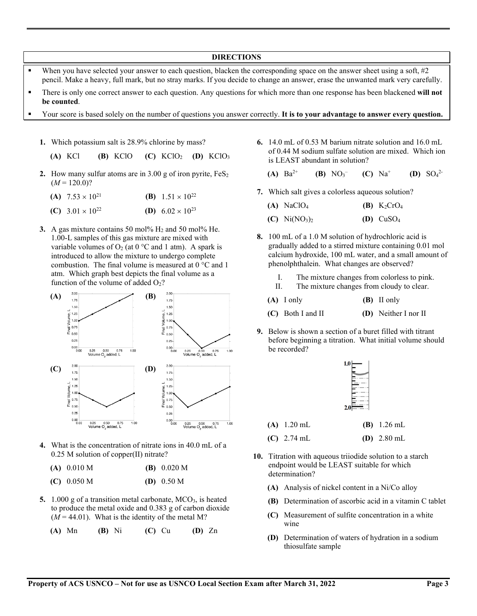#### **DIRECTIONS**

- When you have selected your answer to each question, blacken the corresponding space on the answer sheet using a soft,  $#2$ pencil. Make a heavy, full mark, but no stray marks. If you decide to change an answer, erase the unwanted mark very carefully.
- There is only one correct answer to each question. Any questions for which more than one response has been blackened **will not be counted**.
- Your score is based solely on the number of questions you answer correctly. **It is to your advantage to answer every question.**
	- **1.** Which potassium salt is 28.9% chlorine by mass?

**(A)** KCl **(B)** KClO **(C)** KClO2 **(D)** KClO3

- **2.** How many sulfur atoms are in  $3.00 \text{ g}$  of iron pyrite,  $FeS<sub>2</sub>$  $(M = 120.0)$ ?
	- **(A)**  $7.53 \times 10^{21}$  **(B)**  $1.51 \times 10^{22}$
	- **(C)**  $3.01 \times 10^{22}$  **(D)**  $6.02 \times 10^{23}$
- **3.** A gas mixture contains 50 mol%  $H_2$  and 50 mol% He. 1.00-L samples of this gas mixture are mixed with variable volumes of O<sub>2</sub> (at 0 °C and 1 atm). A spark is introduced to allow the mixture to undergo complete combustion. The final volume is measured at 0 °C and 1 atm. Which graph best depicts the final volume as a function of the volume of added  $O<sub>2</sub>$ ?



- **4.** What is the concentration of nitrate ions in 40.0 mL of a 0.25 M solution of copper(II) nitrate?
	- **(A)** 0.010 M **(B)** 0.020 M
	- **(C)** 0.050 M **(D)** 0.50 M
- **5.** 1.000 g of a transition metal carbonate, MCO<sub>3</sub>, is heated to produce the metal oxide and 0.383 g of carbon dioxide  $(M = 44.01)$ . What is the identity of the metal M?
	- **(A)** Mn **(B)** Ni **(C)** Cu **(D)** Zn
- **6.** 14.0 mL of 0.53 M barium nitrate solution and 16.0 mL of 0.44 M sodium sulfate solution are mixed. Which ion is LEAST abundant in solution?
	- **(A)**  $Ba^{2+}$  **(B)**  $NO_3^-$ – **(C)** Na+ **(D)** SO4 2-
- **7.** Which salt gives a colorless aqueous solution?
	- **(A)** NaClO<sub>4</sub> **(B)** K<sub>2</sub>CrO<sub>4</sub>
	- **(C)**  $Ni(NO_3)_2$  **(D)**  $CuSO_4$
- **8.** 100 mL of a 1.0 M solution of hydrochloric acid is gradually added to a stirred mixture containing 0.01 mol calcium hydroxide, 100 mL water, and a small amount of phenolphthalein. What changes are observed?
	- I. The mixture changes from colorless to pink.
	- II. The mixture changes from cloudy to clear.
	- **(A)** I only **(B)** II only
	- **(C)** Both I and II **(D)** Neither I nor II
- **9.** Below is shown a section of a buret filled with titrant before beginning a titration. What initial volume should be recorded?

| $2.0\vert$ |  |
|------------|--|
|            |  |

- **(A)** 1.20 mL **(B)** 1.26 mL
- **(C)** 2.74 mL **(D)** 2.80 mL
- **10.** Titration with aqueous triiodide solution to a starch endpoint would be LEAST suitable for which determination?
	- **(A)** Analysis of nickel content in a Ni/Co alloy
	- **(B)** Determination of ascorbic acid in a vitamin C tablet
	- **(C)** Measurement of sulfite concentration in a white wine
	- **(D)** Determination of waters of hydration in a sodium thiosulfate sample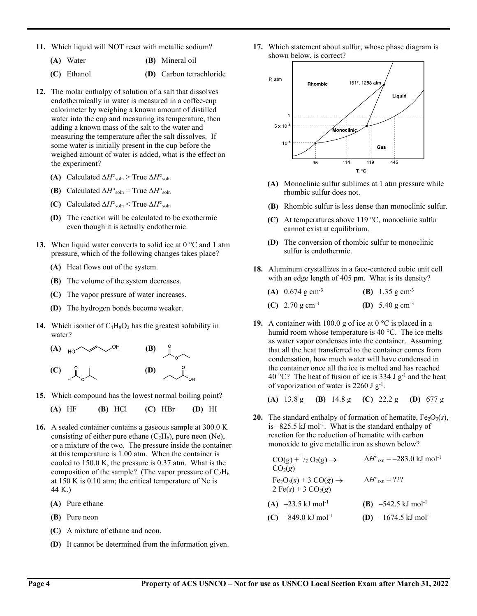- **11.** Which liquid will NOT react with metallic sodium?
	- **(A)** Water **(B)** Mineral oil
	- **(C)** Ethanol **(D)** Carbon tetrachloride
- **12.** The molar enthalpy of solution of a salt that dissolves endothermically in water is measured in a coffee-cup calorimeter by weighing a known amount of distilled water into the cup and measuring its temperature, then adding a known mass of the salt to the water and measuring the temperature after the salt dissolves. If some water is initially present in the cup before the weighed amount of water is added, what is the effect on the experiment?
	- **(A)** Calculated ∆*H*°soln > True ∆*H*°soln
	- **(B)** Calculated  $\Delta H^{\circ}$ <sub>soln</sub> = True  $\Delta H^{\circ}$ <sub>soln</sub>
	- **(C)** Calculated ∆*H*°soln < True ∆*H*°soln
	- **(D)** The reaction will be calculated to be exothermic even though it is actually endothermic.
- **13.** When liquid water converts to solid ice at 0 °C and 1 atm pressure, which of the following changes takes place?
	- **(A)** Heat flows out of the system.
	- **(B)** The volume of the system decreases.
	- **(C)** The vapor pressure of water increases.
	- **(D)** The hydrogen bonds become weaker.
- **14.** Which isomer of  $C_4H_8O_2$  has the greatest solubility in water?



**15.** Which compound has the lowest normal boiling point?

**(A)** HF **(B)** HCl **(C)** HBr **(D)** HI

- **16.** A sealed container contains a gaseous sample at 300.0 K consisting of either pure ethane  $(C_2H_6)$ , pure neon (Ne), or a mixture of the two. The pressure inside the container at this temperature is 1.00 atm. When the container is cooled to 150.0 K, the pressure is 0.37 atm. What is the composition of the sample? (The vapor pressure of  $C_2H_6$ ) at 150 K is 0.10 atm; the critical temperature of Ne is 44 K.)
	- **(A)** Pure ethane
	- **(B)** Pure neon
	- **(C)** A mixture of ethane and neon.
	- **(D)** It cannot be determined from the information given.

**17.** Which statement about sulfur, whose phase diagram is shown below, is correct?



- **(A)** Monoclinic sulfur sublimes at 1 atm pressure while rhombic sulfur does not.
- **(B)** Rhombic sulfur is less dense than monoclinic sulfur.
- **(C)** At temperatures above 119 °C, monoclinic sulfur cannot exist at equilibrium.
- **(D)** The conversion of rhombic sulfur to monoclinic sulfur is endothermic.
- **18.** Aluminum crystallizes in a face-centered cubic unit cell with an edge length of 405 pm. What is its density?

| (A) $0.674$ g cm <sup>-3</sup> | (B) 1.35 g cm <sup>-3</sup> |  |
|--------------------------------|-----------------------------|--|
| (C) 2.70 g cm <sup>-3</sup>    | (D) 5.40 g cm <sup>-3</sup> |  |

**19.** A container with 100.0 g of ice at  $0^{\circ}$ C is placed in a humid room whose temperature is 40 °C. The ice melts as water vapor condenses into the container. Assuming that all the heat transferred to the container comes from condensation, how much water will have condensed in the container once all the ice is melted and has reached 40 °C? The heat of fusion of ice is 334 J  $g^{-1}$  and the heat of vaporization of water is 2260 J  $g^{-1}$ .

**(A)** 13.8 g **(B)** 14.8 g **(C)** 22.2 g **(D)** 677 g

**20.** The standard enthalpy of formation of hematite,  $Fe<sub>2</sub>O<sub>3</sub>(s)$ , is  $-825.5$  kJ mol<sup>-1</sup>. What is the standard enthalpy of reaction for the reduction of hematite with carbon monoxide to give metallic iron as shown below?

$$
CO(g) + \frac{1}{2}O_2(g) \rightarrow \Delta H^{\circ}_{rxn} = -283.0 \text{ kJ mol}^{-1}
$$
  
\n
$$
CO_2(g)
$$
  
\nFe<sub>2</sub>O<sub>3</sub>(s) + 3 CO(g) →  $\Delta H^{\circ}_{rxn} = ???$   
\n2 Fe(s) + 3 CO<sub>2</sub>(g)  
\n**(A)** -23.5 kJ mol<sup>-1</sup>  
\n**(B)** -542.5 kJ mol<sup>-1</sup>  
\n**(C)** -849.0 kJ mol<sup>-1</sup>  
\n**(D)** -1674.5 kJ mol<sup>-1</sup>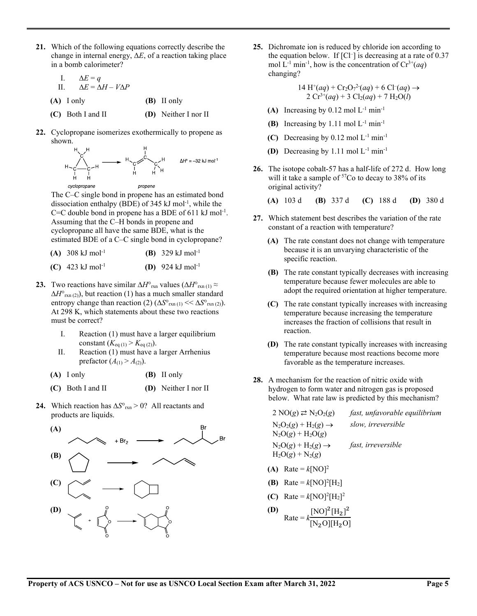- **21.** Which of the following equations correctly describe the change in internal energy, Δ*E*, of a reaction taking place in a bomb calorimeter?
	- I. ∆*E* = *q* II. ∆*E* = ∆*H* – *V*∆*P*
	- **(A)** I only **(B)** II only
	- **(C)** Both I and II **(D)** Neither I nor II
- **22.** Cyclopropane isomerizes exothermically to propene as shown.



The C–C single bond in propene has an estimated bond dissociation enthalpy (BDE) of 345 kJ mol-1 , while the C=C double bond in propene has a BDE of  $611 \text{ kJ}$  mol<sup>-1</sup>. Assuming that the C–H bonds in propene and cyclopropane all have the same BDE, what is the estimated BDE of a C–C single bond in cyclopropane?

| (A) $308 \text{ kJ} \text{ mol}^{-1}$ | ( <b>B</b> ) 329 kJ mol <sup>-1</sup> |
|---------------------------------------|---------------------------------------|
| (C) $423 \text{ kJ} \text{ mol}^{-1}$ | <b>(D)</b> 924 kJ mol <sup>-1</sup>   |

- **23.** Two reactions have similar  $\Delta H^{\circ}$ <sub>rxn</sub> values ( $\Delta H^{\circ}$ <sub>rxn (1)</sub> ≈ ∆*H*°rxn (2)), but reaction (1) has a much smaller standard entropy change than reaction (2)  $(\Delta S^{\circ}_{rxn(1)} << \Delta S^{\circ}_{rxn(2)})$ . At 298 K, which statements about these two reactions must be correct?
	- I. Reaction (1) must have a larger equilibrium constant  $(K_{eq(1)} > K_{eq(2)})$ .
	- II. Reaction (1) must have a larger Arrhenius prefactor  $(A_{(1)} > A_{(2)})$ .
	- **(A)** I only **(B)** II only
	- **(C)** Both I and II **(D)** Neither I nor II
- **24.** Which reaction has ∆*S*°rxn > 0? All reactants and products are liquids.



**25.** Dichromate ion is reduced by chloride ion according to the equation below. If [Cl– ] is decreasing at a rate of 0.37 mol  $L^{-1}$  min<sup>-1</sup>, how is the concentration of  $Cr^{3+}(aq)$ changing?

$$
14 \text{ H}^+(aq) + \text{Cr}_2\text{O}_7{}^2(aq) + 6 \text{ Cl}^-(aq) \rightarrow
$$
  
2 \text{ Cr}^{3+}(aq) + 3 \text{ Cl}\_2(aq) + 7 \text{ H}\_2\text{O}(l)

- (A) Increasing by  $0.12 \text{ mol } L^{-1} \text{ min}^{-1}$
- **(B)** Increasing by 1.11 mol  $L^{-1}$  min<sup>-1</sup>
- **(C)** Decreasing by 0.12 mol L-1 min-1
- **(D)** Decreasing by 1.11 mol L-1 min-1
- **26.** The isotope cobalt-57 has a half-life of 272 d. How long will it take a sample of  $57C$ o to decay to 38% of its original activity?
	- **(A)** 103 d **(B)** 337 d **(C)** 188 d **(D)** 380 d
- **27.** Which statement best describes the variation of the rate constant of a reaction with temperature?
	- **(A)** The rate constant does not change with temperature because it is an unvarying characteristic of the specific reaction.
	- **(B)** The rate constant typically decreases with increasing temperature because fewer molecules are able to adopt the required orientation at higher temperature.
	- **(C)** The rate constant typically increases with increasing temperature because increasing the temperature increases the fraction of collisions that result in reaction.
	- **(D)** The rate constant typically increases with increasing temperature because most reactions become more favorable as the temperature increases.
- **28.** A mechanism for the reaction of nitric oxide with hydrogen to form water and nitrogen gas is proposed below. What rate law is predicted by this mechanism?

 $2 \text{ NO}(g) \rightleftarrows N_2O_2(g)$  *fast, unfavorable equilibrium*  $N_2O_2(g) + H_2(g) \rightarrow$  $N_2O(g) + H_2O(g)$ *slow, irreversible*  $N_2O(g) + H_2(g) \rightarrow$  $H_2O(g) + N_2(g)$ *fast, irreversible* **(A)** Rate =  $k[NO]^2$ **(B)** Rate =  $k[NO]^2[H_2]$ 

- **(C)** Rate =  $k[NO]^2[H_2]^2$
- **(D)**  $Rate = k$  $[NO]^2[H_2]^2$  $[N_2O][H_2O]$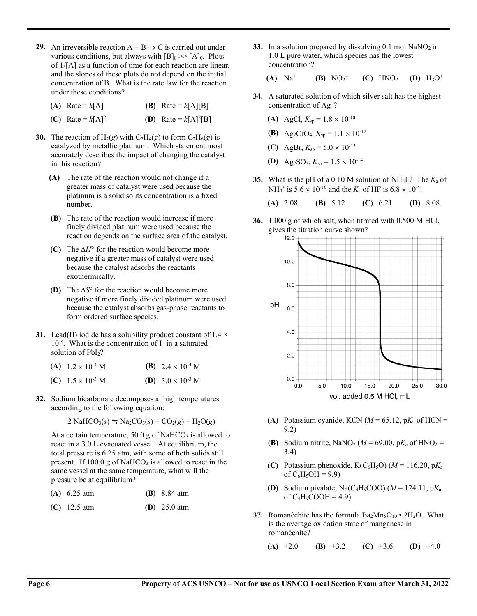- **29.** An irreversible reaction  $A + B \rightarrow C$  is carried out under various conditions, but always with  $[B]_0 \gg [A]_0$ . Plots of 1/[A] as a function of time for each reaction are linear, and the slopes of these plots do not depend on the initial concentration of B. What is the rate law for the reaction under these conditions?
	- **(A)** Rate =  $k[A]$  **(B)** Rate =  $k[A][B]$

**(C)** Rate =  $k[A]^2$  **(D)** Rate =  $k[A]^2[B]$ 

- **30.** The reaction of  $H_2(g)$  with  $C_2H_4(g)$  to form  $C_2H_6(g)$  is catalyzed by metallic platinum. Which statement most accurately describes the impact of changing the catalyst in this reaction?
	- **(A)** The rate of the reaction would not change if a greater mass of catalyst were used because the platinum is a solid so its concentration is a fixed number.
	- **(B)** The rate of the reaction would increase if more finely divided platinum were used because the reaction depends on the surface area of the catalyst.
	- **(C)** The ∆*H*° for the reaction would become more negative if a greater mass of catalyst were used because the catalyst adsorbs the reactants exothermically.
	- **(D)** The ∆*S*° for the reaction would become more negative if more finely divided platinum were used because the catalyst absorbs gas-phase reactants to form ordered surface species.
- **31.** Lead(II) iodide has a solubility product constant of  $1.4 \times$ 10-8 . What is the concentration of I – in a saturated solution of PbI<sub>2</sub>?

| (A) $1.2 \times 10^{-4}$ M | ( <b>B</b> ) $2.4 \times 10^{-4}$ M |
|----------------------------|-------------------------------------|
| (C) $1.5 \times 10^{-3}$ M | (D) $3.0 \times 10^{-3}$ M          |

**32.** Sodium bicarbonate decomposes at high temperatures according to the following equation:

$$
2 \text{ NaHCO}_3(s) \leftrightarrows \text{Na}_2\text{CO}_3(s) + \text{CO}_2(g) + \text{H}_2\text{O}(g)
$$

At a certain temperature,  $50.0$  g of NaHCO<sub>3</sub> is allowed to react in a 3.0 L evacuated vessel. At equilibrium, the total pressure is 6.25 atm, with some of both solids still present. If  $100.0$  g of NaHCO<sub>3</sub> is allowed to react in the same vessel at the same temperature, what will the pressure be at equilibrium?

| (A) $6.25 \text{ atm}$ | ( <b>B</b> ) $8.84$ atm |
|------------------------|-------------------------|
|                        |                         |

| (C) 12.5 atm | (D) $25.0$ atm |
|--------------|----------------|
|              |                |

**33.** In a solution prepared by dissolving  $0.1$  mol NaNO<sub>2</sub> in 1.0 L pure water, which species has the lowest concentration?

**(A)**  $Na^+$  **(B)**  $NO_2^-$ (C)  $HNO<sub>2</sub>$  (D)  $H<sub>3</sub>O<sup>+</sup>$ 

- **34.** A saturated solution of which silver salt has the highest concentration of Ag+?
	- **(A)** AgCl,  $K_{sp} = 1.8 \times 10^{-10}$
	- **(B)** Ag<sub>2</sub>CrO<sub>4</sub>,  $K_{sp} = 1.1 \times 10^{-12}$
	- **(C)** AgBr,  $K_{\text{sp}} = 5.0 \times 10^{-13}$
	- **(D)** Ag<sub>2</sub>SO<sub>3</sub>,  $K_{sp} = 1.5 \times 10^{-14}$
- **35.** What is the pH of a 0.10 M solution of NH<sub>4</sub>F? The  $K_a$  of NH<sub>4</sub><sup>+</sup> is  $5.6 \times 10^{-10}$  and the  $K_a$  of HF is  $6.8 \times 10^{-4}$ .

**(A)** 2.08 **(B)** 5.12 **(C)** 6.21 **(D)** 8.08

**36.** 1.000 g of which salt, when titrated with 0.500 M HCl, gives the titration curve shown?



- (A) Potassium cyanide, KCN ( $M = 65.12$ ,  $pK_a$  of HCN = 9.2)
- **(B)** Sodium nitrite, NaNO<sub>2</sub> ( $M = 69.00$ , p $K_a$  of HNO<sub>2</sub> = 3.4)
- **(C)** Potassium phenoxide,  $K(C_6H_5O)$  ( $M = 116.20$ ,  $pK_a$ of  $C_6H_5OH = 9.9$ )
- **(D)** Sodium pivalate, Na(C4H9COO) (*M* = 124.11, p*K*<sup>a</sup> of  $C_4H_9COOH = 4.9$
- **37.** Romanèchite has the formula  $Ba<sub>2</sub>Mn<sub>5</sub>O<sub>10</sub> \cdot 2H<sub>2</sub>O$ . What is the average oxidation state of manganese in romanèchite?
	- **(A)** +2.0 **(B)** +3.2 **(C)** +3.6 **(D)** +4.0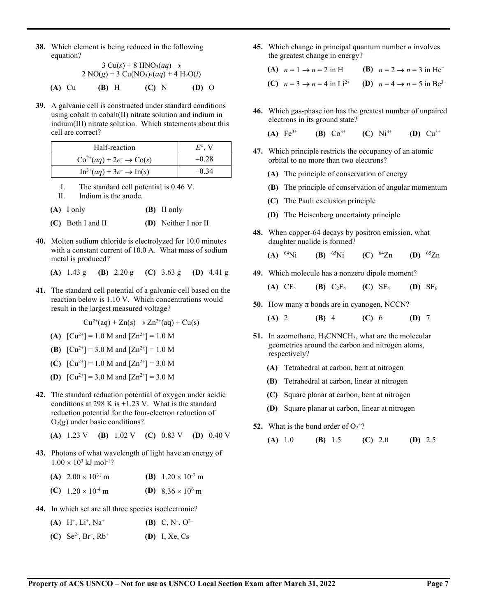**38.** Which element is being reduced in the following equation?

$$
3 \text{ Cu}(s) + 8 \text{ HNO}_3(aq) \rightarrow
$$
  
2 NO(g) + 3 Cu(NO<sub>3</sub>)<sub>2</sub>(aq) + 4 H<sub>2</sub>O(l)  
(A) Cu (B) H (C) N (D) O

**39.** A galvanic cell is constructed under standard conditions using cobalt in cobalt(II) nitrate solution and indium in indium(III) nitrate solution. Which statements about this cell are correct?

| Half-reaction                                        | $E^{\circ}$ . V |
|------------------------------------------------------|-----------------|
| $Co^{2+}(aq) + 2e^- \rightarrow Co(s)$               | $-0.28$         |
| $\text{In}^{3+}(aq) + 3e^- \rightarrow \text{In}(s)$ | $-0.34$         |

- I. The standard cell potential is 0.46 V.
- II. Indium is the anode.

| $(A)$ I only | (B) II only |
|--------------|-------------|
|              |             |

- **(C)** Both I and II **(D)** Neither I nor II
- **40.** Molten sodium chloride is electrolyzed for 10.0 minutes with a constant current of 10.0 A. What mass of sodium metal is produced?
	- **(A)** 1.43 g **(B)** 2.20 g **(C)** 3.63 g **(D)** 4.41 g
- **41.** The standard cell potential of a galvanic cell based on the reaction below is 1.10 V. Which concentrations would result in the largest measured voltage?

 $Cu^{2+}(aq) + Zn(s) \rightarrow Zn^{2+}(aq) + Cu(s)$ 

- **(A)**  $[Cu^{2+}] = 1.0 M$  and  $[Zn^{2+}] = 1.0 M$
- **(B)**  $\left[\text{Cu}^{2+}\right] = 3.0 \text{ M}$  and  $\left[\text{Zn}^{2+}\right] = 1.0 \text{ M}$
- **(C)**  $[Cu^{2+}] = 1.0 M$  and  $[Zn^{2+}] = 3.0 M$
- **(D)**  $[Cu^{2+}] = 3.0 M$  and  $[Zn^{2+}] = 3.0 M$
- **42.** The standard reduction potential of oxygen under acidic conditions at 298 K is  $+1.23$  V. What is the standard reduction potential for the four-electron reduction of  $O_2(g)$  under basic conditions?

**(A)** 1.23 V **(B)** 1.02 V **(C)** 0.83 V **(D)** 0.40 V

- **43.** Photons of what wavelength of light have an energy of  $1.00 \times 10^3 \text{ kJ} \text{ mol}^{-1}$ ?
	- **(A)**  $2.00 \times 10^{31}$  m **(B)**  $1.20 \times 10^{-7}$  m
	- **(C)**  $1.20 \times 10^{-4}$  m **(D)**  $8.36 \times 10^{6}$  m
- **44.** In which set are all three species isoelectronic?
	- **(A)** H<sup>+</sup>, Li<sup>+</sup>, Na<sup>+</sup> (B) C, N<sup>-</sup>,  $O^{2-}$
	- $(C)$  Se<sup>2-</sup>, Br<sup>-</sup> (D) I, Xe, Cs

**45.** Which change in principal quantum number *n* involves the greatest change in energy?

(A) 
$$
n = 1 \rightarrow n = 2
$$
 in H  
\n(B)  $n = 2 \rightarrow n = 3$  in He<sup>+</sup>  
\n(C)  $n = 3 \rightarrow n = 4$  in Li<sup>2+</sup>  
\n(D)  $n = 4 \rightarrow n = 5$  in Be<sup>3+</sup>

**46.** Which gas-phase ion has the greatest number of unpaired electrons in its ground state?

**(A)** Fe3+ **(B)** Co3+ **(C)** Ni3+ **(D)** Cu3+

- **47.** Which principle restricts the occupancy of an atomic orbital to no more than two electrons?
	- **(A)** The principle of conservation of energy
	- **(B)** The principle of conservation of angular momentum
	- **(C)** The Pauli exclusion principle
	- **(D)** The Heisenberg uncertainty principle
- **48.** When copper-64 decays by positron emission, what daughter nuclide is formed?
	- **(A)** 64Ni **(B)** 65Ni **(C)** 64Zn **(D)** 65Zn
- **49.** Which molecule has a nonzero dipole moment?
	- **(A)** CF4 **(B)** C2F4 **(C)** SF4 **(D)** SF6
- **50.** How many π bonds are in cyanogen, NCCN?
	- **(A)** 2 **(B)** 4 **(C)** 6 **(D)** 7
- **51.** In azomethane, H<sub>3</sub>CNNCH<sub>3</sub>, what are the molecular geometries around the carbon and nitrogen atoms, respectively?
	- **(A)** Tetrahedral at carbon, bent at nitrogen
	- **(B)** Tetrahedral at carbon, linear at nitrogen
	- **(C)** Square planar at carbon, bent at nitrogen
	- **(D)** Square planar at carbon, linear at nitrogen
- **52.** What is the bond order of  $O_2^+$ ?
	- **(A)** 1.0 **(B)** 1.5 **(C)** 2.0 **(D)** 2.5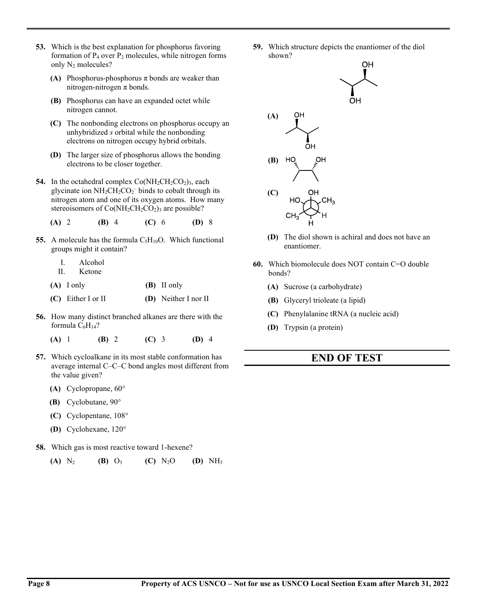- **53.** Which is the best explanation for phosphorus favoring formation of P4 over P2 molecules, while nitrogen forms only N2 molecules?
	- **(A)** Phosphorus-phosphorus π bonds are weaker than nitrogen-nitrogen π bonds.
	- **(B)** Phosphorus can have an expanded octet while nitrogen cannot.
	- **(C)** The nonbonding electrons on phosphorus occupy an unhybridized *s* orbital while the nonbonding electrons on nitrogen occupy hybrid orbitals.
	- **(D)** The larger size of phosphorus allows the bonding electrons to be closer together.
- **54.** In the octahedral complex  $Co(NH_2CH_2CO_2)_3$ , each glycinate ion  $NH<sub>2</sub>CH<sub>2</sub>CO<sub>2</sub>$  binds to cobalt through its nitrogen atom and one of its oxygen atoms. How many stereoisomers of  $Co(NH_2CH_2CO_2)$ <sub>3</sub> are possible?

**(A)** 2 **(B)** 4 **(C)** 6 **(D)** 8

- **55.** A molecule has the formula  $C_5H_{10}O$ . Which functional groups might it contain?
	- I. Alcohol
	- II. Ketone
	- **(A)** I only **(B)** II only
	- **(C)** Either I or II **(D)** Neither I nor II
- **56.** How many distinct branched alkanes are there with the formula  $C_6H_{14}$ ?
	- **(A)** 1 **(B)** 2 **(C)** 3 **(D)** 4
- **57.** Which cycloalkane in its most stable conformation has average internal C–C–C bond angles most different from the value given?
	- **(A)** Cyclopropane, 60°
	- **(B)** Cyclobutane, 90°
	- **(C)** Cyclopentane, 108°
	- **(D)** Cyclohexane, 120°
- **58.** Which gas is most reactive toward 1-hexene?



**59.** Which structure depicts the enantiomer of the diol shown?



- **(D)** The diol shown is achiral and does not have an enantiomer.
- **60.** Which biomolecule does NOT contain C=O double bonds?
	- **(A)** Sucrose (a carbohydrate)
	- **(B)** Glyceryl trioleate (a lipid)
	- **(C)** Phenylalanine tRNA (a nucleic acid)
	- **(D)** Trypsin (a protein)

### **END OF TEST**